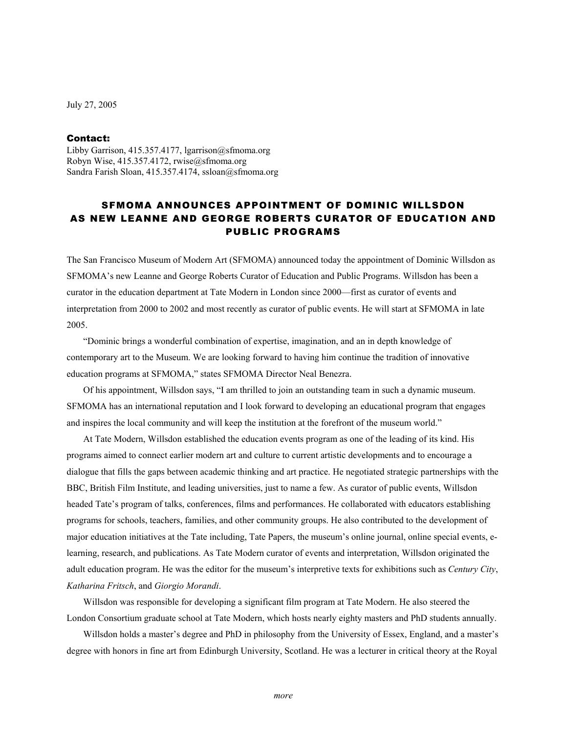July 27, 2005

## Contact:

Libby Garrison, 415.357.4177, lgarrison@sfmoma.org Robyn Wise,  $415.357.4172$ , rwise@sfmoma.org Sandra Farish Sloan, 415.357.4174, ssloan@sfmoma.org

## SFMOMA ANNOUNCES APPOINTMENT OF DOMINIC WILLSDON AS NEW LEANNE AND GEORGE ROBERTS CURATOR OF EDUCATION AND PUBLIC PROGRAMS

The San Francisco Museum of Modern Art (SFMOMA) announced today the appointment of Dominic Willsdon as SFMOMA's new Leanne and George Roberts Curator of Education and Public Programs. Willsdon has been a curator in the education department at Tate Modern in London since 2000—first as curator of events and interpretation from 2000 to 2002 and most recently as curator of public events. He will start at SFMOMA in late 2005.

 "Dominic brings a wonderful combination of expertise, imagination, and an in depth knowledge of contemporary art to the Museum. We are looking forward to having him continue the tradition of innovative education programs at SFMOMA," states SFMOMA Director Neal Benezra.

 Of his appointment, Willsdon says, "I am thrilled to join an outstanding team in such a dynamic museum. SFMOMA has an international reputation and I look forward to developing an educational program that engages and inspires the local community and will keep the institution at the forefront of the museum world."

At Tate Modern, Willsdon established the education events program as one of the leading of its kind. His programs aimed to connect earlier modern art and culture to current artistic developments and to encourage a dialogue that fills the gaps between academic thinking and art practice. He negotiated strategic partnerships with the BBC, British Film Institute, and leading universities, just to name a few. As curator of public events, Willsdon headed Tate's program of talks, conferences, films and performances. He collaborated with educators establishing programs for schools, teachers, families, and other community groups. He also contributed to the development of major education initiatives at the Tate including, Tate Papers, the museum's online journal, online special events, elearning, research, and publications. As Tate Modern curator of events and interpretation, Willsdon originated the adult education program. He was the editor for the museum's interpretive texts for exhibitions such as *Century City*, *Katharina Fritsch*, and *Giorgio Morandi*.

Willsdon was responsible for developing a significant film program at Tate Modern. He also steered the London Consortium graduate school at Tate Modern, which hosts nearly eighty masters and PhD students annually.

 Willsdon holds a master's degree and PhD in philosophy from the University of Essex, England, and a master's degree with honors in fine art from Edinburgh University, Scotland. He was a lecturer in critical theory at the Royal